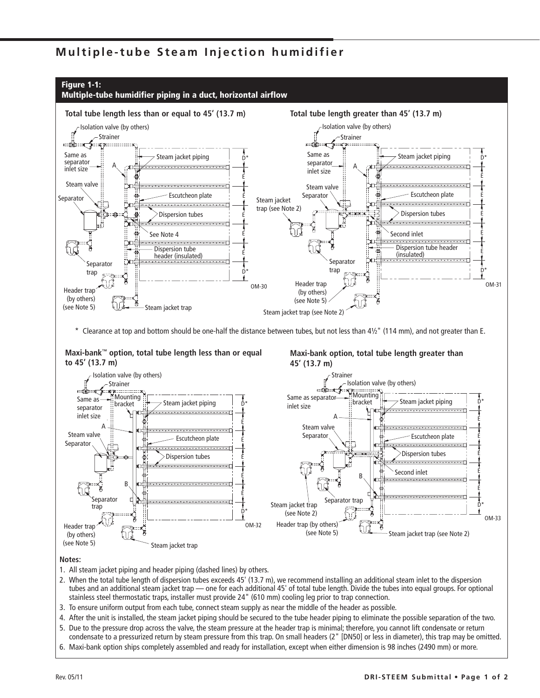## **Multiple-tube Steam Injection humidifier**



\* Clearance at top and bottom should be one-half the distance between tubes, but not less than 4½" (114 mm), and not greater than E.

## **Maxi-bank™ option, total tube length less than or equal to 45' (13.7 m)**





## **Notes:**

- 1. All steam jacket piping and header piping (dashed lines) by others.
- 2. When the total tube length of dispersion tubes exceeds 45' (13.7 m), we recommend installing an additional steam inlet to the dispersion tubes and an additional steam jacket trap — one for each additional 45' of total tube length. Divide the tubes into equal groups. For optional stainless steel thermostatic traps, installer must provide 24" (610 mm) cooling leg prior to trap connection.
- 3. To ensure uniform output from each tube, connect steam supply as near the middle of the header as possible.

4. After the unit is installed, the steam jacket piping should be secured to the tube header piping to eliminate the possible separation of the two.

- 5. Due to the pressure drop across the valve, the steam pressure at the header trap is minimal; therefore, you cannot lift condensate or return condensate to a pressurized return by steam pressure from this trap. On small headers (2" [DN50] or less in diameter), this trap may be omitted.
- 6. Maxi-bank option ships completely assembled and ready for installation, except when either dimension is 98 inches (2490 mm) or more.